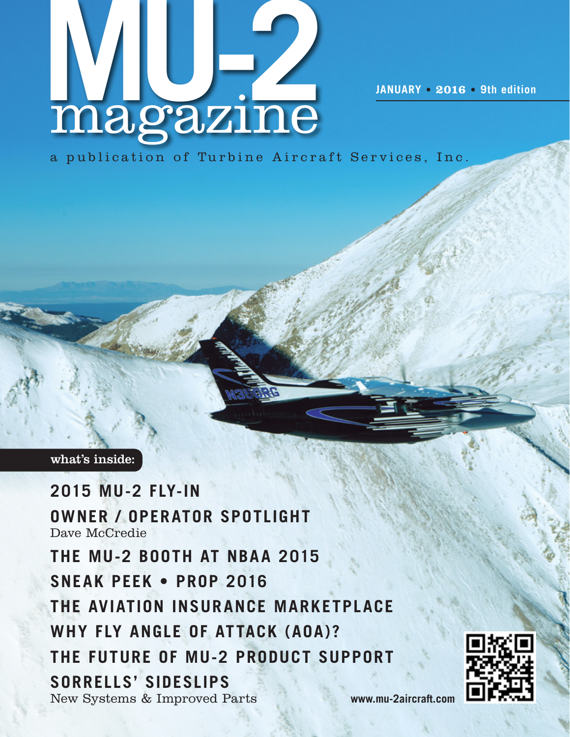

a publication of Turbine Aircraft Services, Inc.

## what's inside:

**2015 MU-2 Fly-In Owner / operator spotlight** Dave McCredie **THE MU-2 BOOTH AT NBAA 2015 SNEAK PEEK • PROP 2016 the Aviation Insurance Marketplace Why Fly Angle of Attack (AOA)? The Future of MU-2 Product Support Sorrells' Sideslips** New Systems & Improved Parts



**www.mu-2aircraft.com**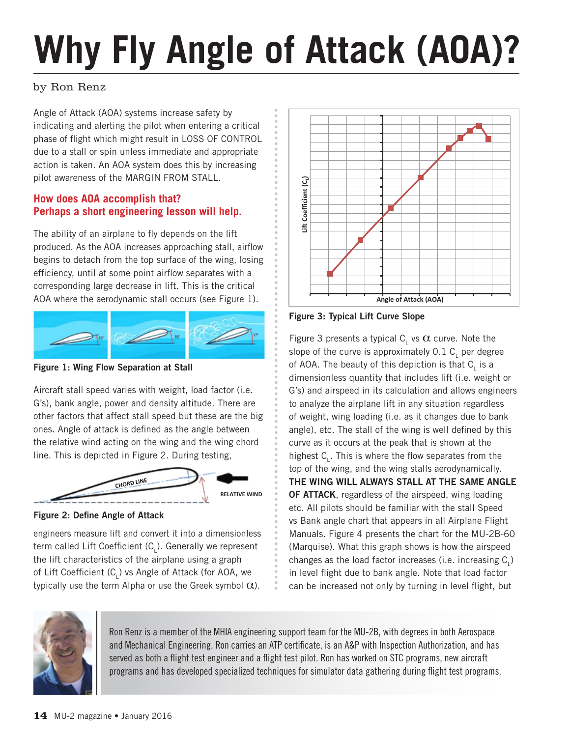# **Why Fly Angle of Attack (AOA)?**

## by Ron Renz

Angle of Attack (AOA) systems increase safety by indicating and alerting the pilot when entering a critical phase of flight which might result in LOSS OF CONTROL due to a stall or spin unless immediate and appropriate action is taken. An AOA system does this by increasing pilot awareness of the MARGIN FROM STALL.

## **How does AOA accomplish that? Perhaps a short engineering lesson will help.**

The ability of an airplane to fly depends on the lift produced. As the AOA increases approaching stall, airflow begins to detach from the top surface of the wing, losing efficiency, until at some point airflow separates with a corresponding large decrease in lift. This is the critical AOA where the aerodynamic stall occurs (see Figure 1).



**Figure 1 Wing Flow Separation at Stall Figure 1: Wing Flow Separation at Stall**

Aircraft stall speed varies with weight, load factor (i.e. G's), bank angle, power and density altitude. There are other factors that affect stall speed but these are the big ones. Angle of attack is defined as the angle between the relative wind acting on the wing and the wing chord line. This is depicted in Figure 2. During testing,



**Figure 2 Define Angle of Attack Figure 2: Define Angle of Attack**

engineers measure lift and convert it into a dimensionless term called Lift Coefficient (C<sub>L</sub>). Generally we represent the lift characteristics of the airplane using a graph of Lift Coefficient (C<sub>L</sub>) vs Angle of Attack (for AOA, we typically use the term Alpha or use the Greek symbol  $\alpha$ ).



**Figure 3: Typical Lift Curve Slope**

Figure 3 presents a typical  $C_{L}$  vs  $\alpha$  curve. Note the slope of the curve is approximately 0.1  $\textsf{C}_\textsf{L}$  per degree of AOA. The beauty of this depiction is that  $\mathsf{C}_\mathsf{L}$  is a dimensionless quantity that includes lift (i.e. weight or G's) and airspeed in its calculation and allows engineers to analyze the airplane lift in any situation regardless of weight, wing loading (i.e. as it changes due to bank angle), etc. The stall of the wing is well defined by this curve as it occurs at the peak that is shown at the highest  $C_{L}$ . This is where the flow separates from the top of the wing, and the wing stalls aerodynamically. **THE WING WILL ALWAYS STALL AT THE SAME ANGLE OF ATTACK**, regardless of the airspeed, wing loading etc. All pilots should be familiar with the stall Speed vs Bank angle chart that appears in all Airplane Flight Manuals. Figure 4 presents the chart for the MU-2B-60 (Marquise). What this graph shows is how the airspeed changes as the load factor increases (i.e. increasing  $\mathsf{C}_\mathsf{L}$ ) in level flight due to bank angle. Note that load factor can be increased not only by turning in level flight, but



Ron Renz is a member of the MHIA engineering support team for the MU-2B, with degrees in both Aerospace and Mechanical Engineering. Ron carries an ATP certificate, is an A&P with Inspection Authorization, and has served as both a flight test engineer and a flight test pilot. Ron has worked on STC programs, new aircraft programs and has developed specialized techniques for simulator data gathering during flight test programs.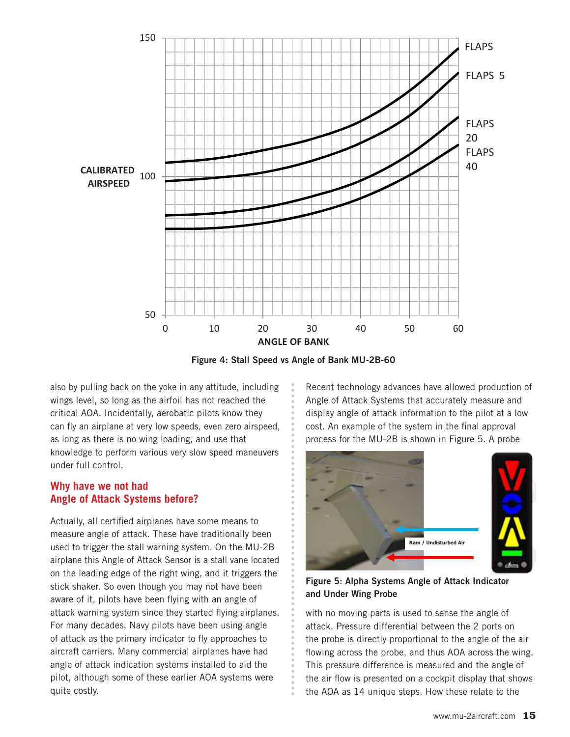

**Figure 4: Stall Speed vs Angle of Bank MU‐2B‐60 Figure 4: Stall Speed vs Angle of Bank MU-2B-60**

also by pulling back on the yoke in any attitude, including wings level, so long as the airfoil has not reached the critical AOA. Incidentally, aerobatic pilots know they can fly an airplane at very low speeds, even zero airspeed, as long as there is no wing loading, and use that knowledge to perform various very slow speed maneuvers under full control.

### **Why have we not had Angle of Attack Systems before?**

Actually, all certified airplanes have some means to measure angle of attack. These have traditionally been used to trigger the stall warning system. On the MU-2B airplane this Angle of Attack Sensor is a stall vane located on the leading edge of the right wing, and it triggers the stick shaker. So even though you may not have been aware of it, pilots have been flying with an angle of attack warning system since they started flying airplanes. For many decades, Navy pilots have been using angle of attack as the primary indicator to fly approaches to aircraft carriers. Many commercial airplanes have had angle of attack indication systems installed to aid the pilot, although some of these earlier AOA systems were quite costly.

Recent technology advances have allowed production of Angle of Attack Systems that accurately measure and display angle of attack information to the pilot at a low cost. An example of the system in the final approval process for the MU-2B is shown in Figure 5. A probe



**Figure 5: Alpha Systems Angle of Attack Indicator and Under Wing Probe**

with no moving parts is used to sense the angle of attack. Pressure differential between the 2 ports on the probe is directly proportional to the angle of the air flowing across the probe, and thus AOA across the wing. This pressure difference is measured and the angle of the air flow is presented on a cockpit display that shows the AOA as 14 unique steps. How these relate to the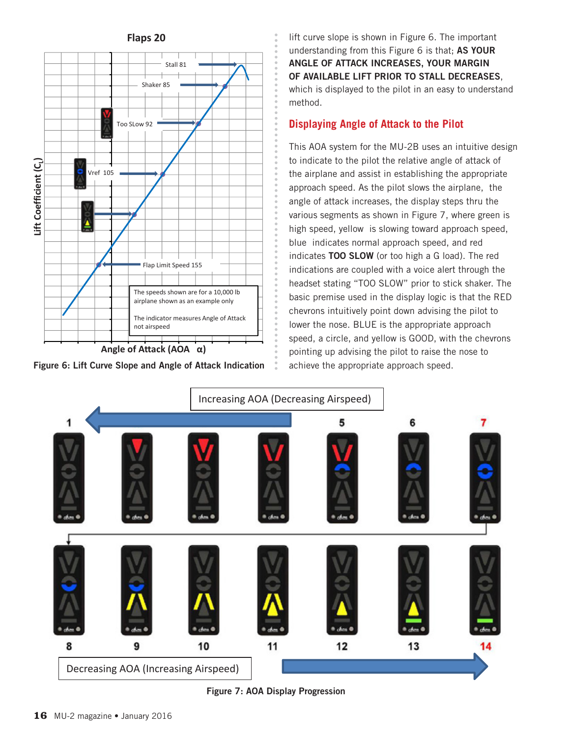

**Figure 6: Lift Curve Slope and Angle of Attack Indication**

lift curve slope is shown in Figure 6. The important understanding from this Figure 6 is that; **AS YOUR ANGLE OF ATTACK INCREASES, YOUR MARGIN OF AVAILABLE LIFT PRIOR TO STALL DECREASES**, which is displayed to the pilot in an easy to understand method.

#### **Displaying Angle of Attack to the Pilot**

This AOA system for the MU-2B uses an intuitive design to indicate to the pilot the relative angle of attack of the airplane and assist in establishing the appropriate approach speed. As the pilot slows the airplane, the angle of attack increases, the display steps thru the various segments as shown in Figure 7, where green is high speed, yellow is slowing toward approach speed, blue indicates normal approach speed, and red indicates **TOO SLOW** (or too high a G load). The red indications are coupled with a voice alert through the headset stating "TOO SLOW" prior to stick shaker. The basic premise used in the display logic is that the RED chevrons intuitively point down advising the pilot to lower the nose. BLUE is the appropriate approach speed, a circle, and yellow is GOOD, with the chevrons pointing up advising the pilot to raise the nose to achieve the appropriate approach speed.



**Figure 7: AOA Display Progression**